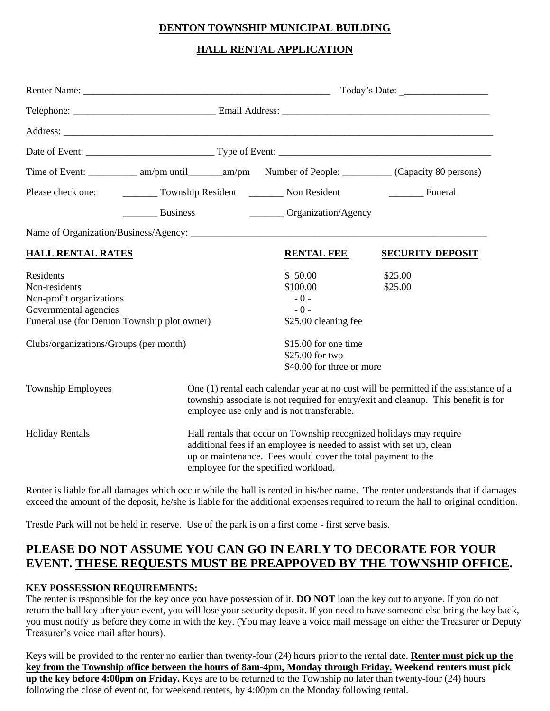#### **DENTON TOWNSHIP MUNICIPAL BUILDING**

#### **HALL RENTAL APPLICATION**

| Time of Event: _____________ am/pm until _______ am/pm Number of People: __________ (Capacity 80 persons)                       |                                                                                                                                                                                                                                                      |                                                                  |                           |  |
|---------------------------------------------------------------------------------------------------------------------------------|------------------------------------------------------------------------------------------------------------------------------------------------------------------------------------------------------------------------------------------------------|------------------------------------------------------------------|---------------------------|--|
| Please check one: ___________ Township Resident _________ Non Resident ________________ Funeral                                 |                                                                                                                                                                                                                                                      |                                                                  |                           |  |
|                                                                                                                                 |                                                                                                                                                                                                                                                      | __________ Business ________________________ Organization/Agency |                           |  |
|                                                                                                                                 |                                                                                                                                                                                                                                                      |                                                                  |                           |  |
| <b>HALL RENTAL RATES</b>                                                                                                        |                                                                                                                                                                                                                                                      | <b>RENTAL FEE</b>                                                | <b>SECURITY DEPOSIT</b>   |  |
| Residents<br>Non-residents<br>Non-profit organizations<br>Governmental agencies<br>Funeral use (for Denton Township plot owner) |                                                                                                                                                                                                                                                      | \$50.00<br>\$100.00<br>$-0-$<br>$-0-$<br>\$25.00 cleaning fee    | \$25.00<br>\$25.00        |  |
| Clubs/organizations/Groups (per month)                                                                                          |                                                                                                                                                                                                                                                      | \$15.00 for one time<br>\$25.00 for two                          | \$40.00 for three or more |  |
| <b>Township Employees</b>                                                                                                       | One (1) rental each calendar year at no cost will be permitted if the assistance of a<br>township associate is not required for entry/exit and cleanup. This benefit is for<br>employee use only and is not transferable.                            |                                                                  |                           |  |
| <b>Holiday Rentals</b>                                                                                                          | Hall rentals that occur on Township recognized holidays may require<br>additional fees if an employee is needed to assist with set up, clean<br>up or maintenance. Fees would cover the total payment to the<br>employee for the specified workload. |                                                                  |                           |  |

Renter is liable for all damages which occur while the hall is rented in his/her name. The renter understands that if damages exceed the amount of the deposit, he/she is liable for the additional expenses required to return the hall to original condition.

Trestle Park will not be held in reserve. Use of the park is on a first come - first serve basis.

# **PLEASE DO NOT ASSUME YOU CAN GO IN EARLY TO DECORATE FOR YOUR EVENT. THESE REQUESTS MUST BE PREAPPOVED BY THE TOWNSHIP OFFICE.**

#### **KEY POSSESSION REQUIREMENTS:**

The renter is responsible for the key once you have possession of it. **DO NOT** loan the key out to anyone. If you do not return the hall key after your event, you will lose your security deposit. If you need to have someone else bring the key back, you must notify us before they come in with the key. (You may leave a voice mail message on either the Treasurer or Deputy Treasurer's voice mail after hours).

Keys will be provided to the renter no earlier than twenty-four (24) hours prior to the rental date. **Renter must pick up the key from the Township office between the hours of 8am-4pm, Monday through Friday. Weekend renters must pick up the key before 4:00pm on Friday.** Keys are to be returned to the Township no later than twenty-four (24) hours following the close of event or, for weekend renters, by 4:00pm on the Monday following rental.